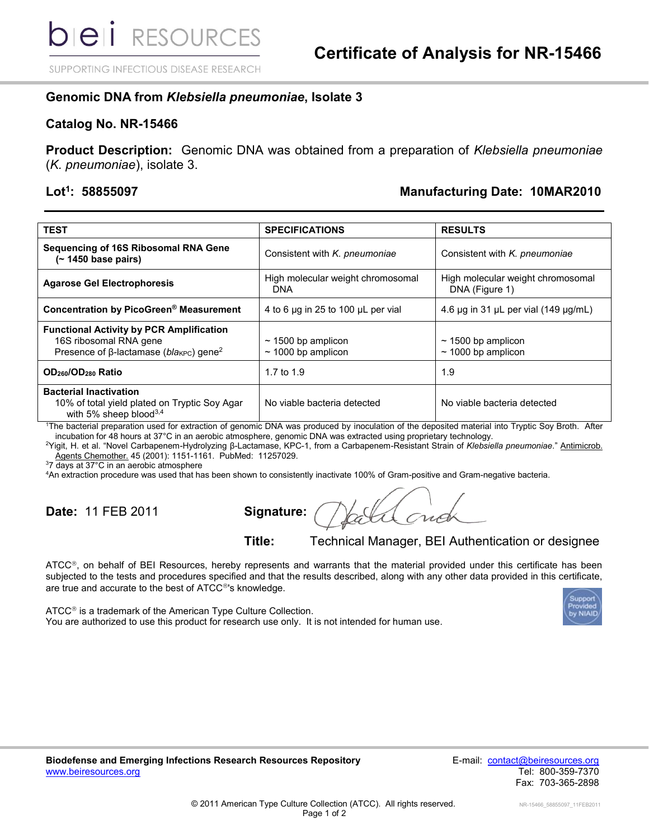SUPPORTING INFECTIOUS DISEASE RESEARCH

### **Genomic DNA from** *Klebsiella pneumoniae***, Isolate 3**

#### **Catalog No. NR-15466**

**Product Description:** Genomic DNA was obtained from a preparation of *Klebsiella pneumoniae* (*K. pneumoniae*), isolate 3.

#### **Lot<sup>1</sup>**

## **: 58855097 Manufacturing Date: 10MAR2010**

| <b>TEST</b>                                                                                                                            | <b>SPECIFICATIONS</b>                              | <b>RESULTS</b>                                      |
|----------------------------------------------------------------------------------------------------------------------------------------|----------------------------------------------------|-----------------------------------------------------|
| Sequencing of 16S Ribosomal RNA Gene<br>$($ ~ 1450 base pairs)                                                                         | Consistent with K. pneumoniae                      | Consistent with K. pneumoniae                       |
| <b>Agarose Gel Electrophoresis</b>                                                                                                     | High molecular weight chromosomal<br><b>DNA</b>    | High molecular weight chromosomal<br>DNA (Figure 1) |
| Concentration by PicoGreen® Measurement                                                                                                | 4 to 6 $\mu$ g in 25 to 100 $\mu$ L per vial       | 4.6 $\mu$ g in 31 $\mu$ L per vial (149 $\mu$ g/mL) |
| <b>Functional Activity by PCR Amplification</b><br>16S ribosomal RNA gene<br>Presence of $\beta$ -lactamase (blakec) gene <sup>2</sup> | $\sim$ 1500 bp amplicon<br>$\sim$ 1000 bp amplicon | $\sim$ 1500 bp amplicon<br>$\sim$ 1000 bp amplicon  |
| OD <sub>260</sub> /OD <sub>280</sub> Ratio                                                                                             | 1.7 to 1.9                                         | 1.9                                                 |
| <b>Bacterial Inactivation</b><br>10% of total yield plated on Tryptic Soy Agar<br>with 5% sheep blood $3,4$                            | No viable bacteria detected                        | No viable bacteria detected                         |

<sup>1</sup>The bacterial preparation used for extraction of genomic DNA was produced by inoculation of the deposited material into Tryptic Soy Broth. After incubation for 48 hours at 37°C in an aerobic atmosphere, genomic DNA was extracted using proprietary technology.

<sup>2</sup>Yigit, H. et al. "Novel Carbapenem-Hydrolyzing β-Lactamase, KPC-1, from a Carbapenem-Resistant Strain of Klebsiella pneumoniae." Antimicrob. Agents Chemother. 45 (2001): 1151-1161. PubMed: 11257029.

<sup>3</sup>7 days at 37°C in an aerobic atmosphere

<sup>4</sup>An extraction procedure was used that has been shown to consistently inactivate 100% of Gram-positive and Gram-negative bacteria.

**Date:** 11 FEB 2011 **Signature:**

**Title:** Technical Manager, BEI Authentication or designee

ATCC®, on behalf of BEI Resources, hereby represents and warrants that the material provided under this certificate has been subjected to the tests and procedures specified and that the results described, along with any other data provided in this certificate, are true and accurate to the best of ATCC<sup>®</sup>'s knowledge.

 $ATCC<sup>®</sup>$  is a trademark of the American Type Culture Collection. You are authorized to use this product for research use only. It is not intended for human use.